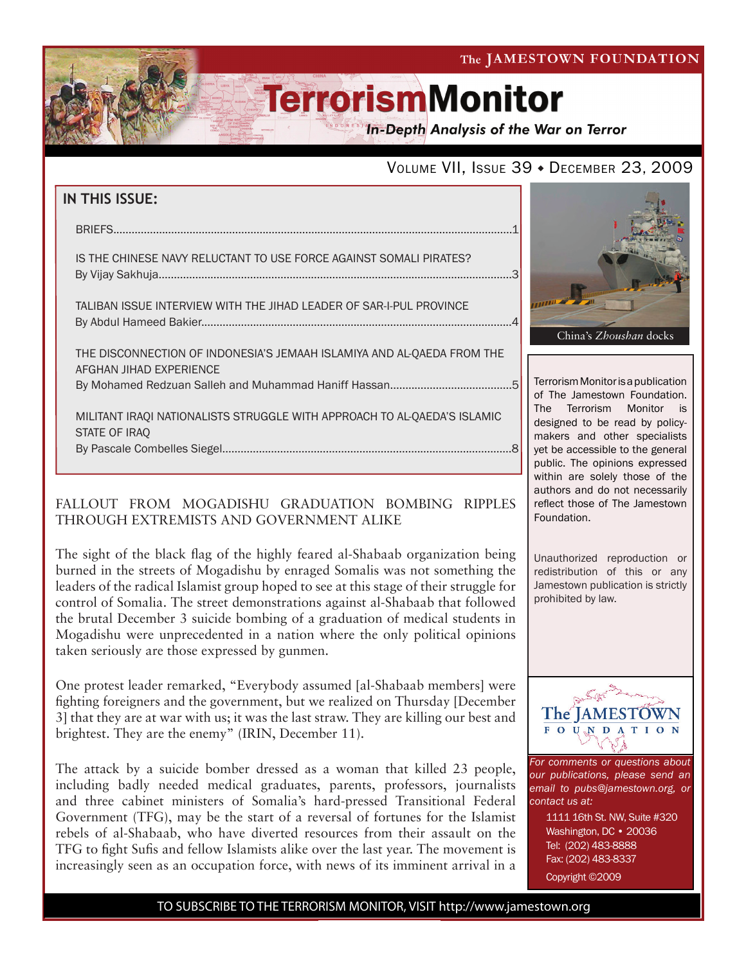The JAMESTOWN FOUNDATION

# **TerrorismMonitor**

**In-Depth Analysis of the War on Terror** 

## VOLUME VII, ISSUE 39 · DECEMBER 23, 2009

| <b>IN THIS ISSUE:</b>                                                                             |  |
|---------------------------------------------------------------------------------------------------|--|
|                                                                                                   |  |
| IS THE CHINESE NAVY RELUCTANT TO USE FORCE AGAINST SOMALI PIRATES?                                |  |
| TALIBAN ISSUE INTERVIEW WITH THE JIHAD LEADER OF SAR-I-PUL PROVINCE                               |  |
| THE DISCONNECTION OF INDONESIA'S JEMAAH ISLAMIYA AND AL-QAEDA FROM THE<br>AFGHAN JIHAD EXPERIENCE |  |
|                                                                                                   |  |
| MILITANT IRAQI NATIONALISTS STRUGGLE WITH APPROACH TO AL-QAEDA'S ISLAMIC<br>STATE OF IRAQ         |  |
|                                                                                                   |  |

### FALLOUT FROM MOGADISHU GRADUATION BOMBING RIPPLES THROUGH EXTREMISTS AND GOVERNMENT ALIKE

The sight of the black flag of the highly feared al-Shabaab organization being burned in the streets of Mogadishu by enraged Somalis was not something the leaders of the radical Islamist group hoped to see at this stage of their struggle for control of Somalia. The street demonstrations against al-Shabaab that followed the brutal December 3 suicide bombing of a graduation of medical students in Mogadishu were unprecedented in a nation where the only political opinions taken seriously are those expressed by gunmen.

One protest leader remarked, "Everybody assumed [al-Shabaab members] were fighting foreigners and the government, but we realized on Thursday [December 3] that they are at war with us; it was the last straw. They are killing our best and brightest. They are the enemy" (IRIN, December 11).

The attack by a suicide bomber dressed as a woman that killed 23 people, including badly needed medical graduates, parents, professors, journalists and three cabinet ministers of Somalia's hard-pressed Transitional Federal Government (TFG), may be the start of a reversal of fortunes for the Islamist rebels of al-Shabaab, who have diverted resources from their assault on the TFG to fight Sufis and fellow Islamists alike over the last year. The movement is increasingly seen as an occupation force, with news of its imminent arrival in a



Terrorism Monitor is a publication of The Jamestown Foundation. The Terrorism Monitor is designed to be read by policymakers and other specialists yet be accessible to the general public. The opinions expressed within are solely those of the authors and do not necessarily reflect those of The Jamestown Foundation.

Unauthorized reproduction or redistribution of this or any Jamestown publication is strictly prohibited by law.



*For comments or questions about our publications, please send an email to pubs@jamestown.org, or contact us at:* 

> 1111 16th St. NW, Suite #320 Washington, DC • 20036 Tel: (202) 483-8888 Fax: (202) 483-8337 Copyright ©2009

TO SUBSCRIBE TO THE TERRORISM MONITOR, VISIT http://www.jamestown.org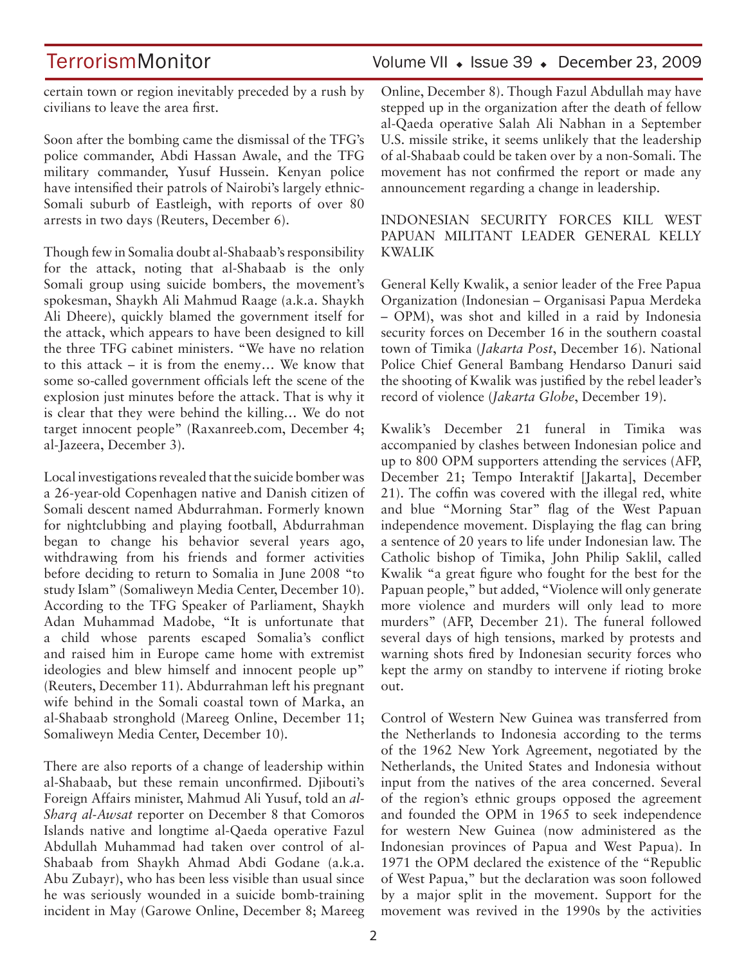## TerrorismMonitor Volume VII • Issue 39 • December 23, 2009

certain town or region inevitably preceded by a rush by civilians to leave the area first.

Soon after the bombing came the dismissal of the TFG's police commander, Abdi Hassan Awale, and the TFG military commander, Yusuf Hussein. Kenyan police have intensified their patrols of Nairobi's largely ethnic-Somali suburb of Eastleigh, with reports of over 80 arrests in two days (Reuters, December 6).

Though few in Somalia doubt al-Shabaab's responsibility for the attack, noting that al-Shabaab is the only Somali group using suicide bombers, the movement's spokesman, Shaykh Ali Mahmud Raage (a.k.a. Shaykh Ali Dheere), quickly blamed the government itself for the attack, which appears to have been designed to kill the three TFG cabinet ministers. "We have no relation to this attack – it is from the enemy… We know that some so-called government officials left the scene of the explosion just minutes before the attack. That is why it is clear that they were behind the killing… We do not target innocent people" (Raxanreeb.com, December 4; al-Jazeera, December 3).

Local investigations revealed that the suicide bomber was a 26-year-old Copenhagen native and Danish citizen of Somali descent named Abdurrahman. Formerly known for nightclubbing and playing football, Abdurrahman began to change his behavior several years ago, withdrawing from his friends and former activities before deciding to return to Somalia in June 2008 "to study Islam" (Somaliweyn Media Center, December 10). According to the TFG Speaker of Parliament, Shaykh Adan Muhammad Madobe, "It is unfortunate that a child whose parents escaped Somalia's conflict and raised him in Europe came home with extremist ideologies and blew himself and innocent people up" (Reuters, December 11). Abdurrahman left his pregnant wife behind in the Somali coastal town of Marka, an al-Shabaab stronghold (Mareeg Online, December 11; Somaliweyn Media Center, December 10).

There are also reports of a change of leadership within al-Shabaab, but these remain unconfirmed. Djibouti's Foreign Affairs minister, Mahmud Ali Yusuf, told an *al-Sharq al-Awsat* reporter on December 8 that Comoros Islands native and longtime al-Qaeda operative Fazul Abdullah Muhammad had taken over control of al-Shabaab from Shaykh Ahmad Abdi Godane (a.k.a. Abu Zubayr), who has been less visible than usual since he was seriously wounded in a suicide bomb-training incident in May (Garowe Online, December 8; Mareeg Online, December 8). Though Fazul Abdullah may have stepped up in the organization after the death of fellow

al-Qaeda operative Salah Ali Nabhan in a September U.S. missile strike, it seems unlikely that the leadership of al-Shabaab could be taken over by a non-Somali. The movement has not confirmed the report or made any announcement regarding a change in leadership.

### INDONESIAN SECURITY FORCES KILL WEST PAPUAN MILITANT LEADER GENERAL KELLY KWALIK

General Kelly Kwalik, a senior leader of the Free Papua Organization (Indonesian – Organisasi Papua Merdeka – OPM), was shot and killed in a raid by Indonesia security forces on December 16 in the southern coastal town of Timika (*Jakarta Post*, December 16). National Police Chief General Bambang Hendarso Danuri said the shooting of Kwalik was justified by the rebel leader's record of violence (*Jakarta Globe*, December 19).

Kwalik's December 21 funeral in Timika was accompanied by clashes between Indonesian police and up to 800 OPM supporters attending the services (AFP, December 21; Tempo Interaktif [Jakarta], December 21). The coffin was covered with the illegal red, white and blue "Morning Star" flag of the West Papuan independence movement. Displaying the flag can bring a sentence of 20 years to life under Indonesian law. The Catholic bishop of Timika, John Philip Saklil, called Kwalik "a great figure who fought for the best for the Papuan people," but added, "Violence will only generate more violence and murders will only lead to more murders" (AFP, December 21). The funeral followed several days of high tensions, marked by protests and warning shots fired by Indonesian security forces who kept the army on standby to intervene if rioting broke out.

Control of Western New Guinea was transferred from the Netherlands to Indonesia according to the terms of the 1962 New York Agreement, negotiated by the Netherlands, the United States and Indonesia without input from the natives of the area concerned. Several of the region's ethnic groups opposed the agreement and founded the OPM in 1965 to seek independence for western New Guinea (now administered as the Indonesian provinces of Papua and West Papua). In 1971 the OPM declared the existence of the "Republic of West Papua," but the declaration was soon followed by a major split in the movement. Support for the movement was revived in the 1990s by the activities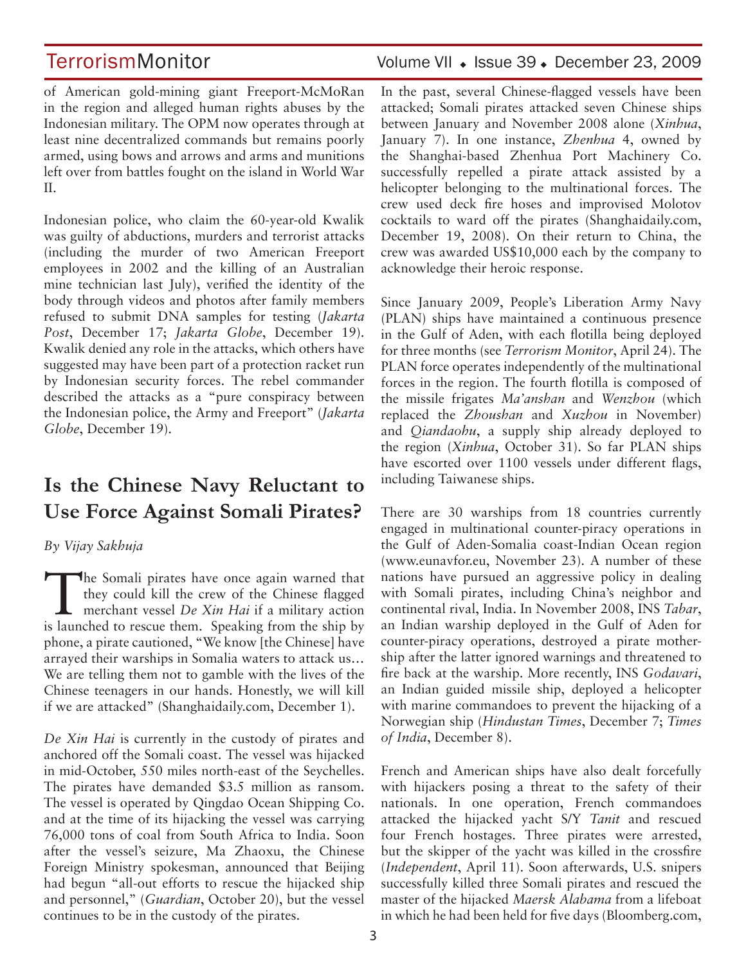of American gold-mining giant Freeport-McMoRan in the region and alleged human rights abuses by the Indonesian military. The OPM now operates through at least nine decentralized commands but remains poorly armed, using bows and arrows and arms and munitions left over from battles fought on the island in World War II.

Indonesian police, who claim the 60-year-old Kwalik was guilty of abductions, murders and terrorist attacks (including the murder of two American Freeport employees in 2002 and the killing of an Australian mine technician last July), verified the identity of the body through videos and photos after family members refused to submit DNA samples for testing (*Jakarta Post*, December 17; *Jakarta Globe*, December 19). Kwalik denied any role in the attacks, which others have suggested may have been part of a protection racket run by Indonesian security forces. The rebel commander described the attacks as a "pure conspiracy between the Indonesian police, the Army and Freeport" (*Jakarta Globe*, December 19).

## **Is the Chinese Navy Reluctant to Use Force Against Somali Pirates?**

*By Vijay Sakhuja* 

The Somali pirates have once again warned that they could kill the crew of the Chinese flagged merchant vessel *De Xin Hai* if a military action they could kill the crew of the Chinese flagged is launched to rescue them. Speaking from the ship by phone, a pirate cautioned, "We know [the Chinese] have arrayed their warships in Somalia waters to attack us… We are telling them not to gamble with the lives of the Chinese teenagers in our hands. Honestly, we will kill if we are attacked" (Shanghaidaily.com, December 1).

*De Xin Hai* is currently in the custody of pirates and anchored off the Somali coast. The vessel was hijacked in mid-October, 550 miles north-east of the Seychelles. The pirates have demanded \$3.5 million as ransom. The vessel is operated by Qingdao Ocean Shipping Co. and at the time of its hijacking the vessel was carrying 76,000 tons of coal from South Africa to India. Soon after the vessel's seizure, Ma Zhaoxu, the Chinese Foreign Ministry spokesman, announced that Beijing had begun "all-out efforts to rescue the hijacked ship and personnel," (*Guardian*, October 20), but the vessel continues to be in the custody of the pirates.

## TerrorismMonitor Volume VII • Issue 39 • December 23, 2009

In the past, several Chinese-flagged vessels have been attacked; Somali pirates attacked seven Chinese ships between January and November 2008 alone (*Xinhua*, January 7). In one instance, *Zhenhua* 4, owned by the Shanghai-based Zhenhua Port Machinery Co. successfully repelled a pirate attack assisted by a helicopter belonging to the multinational forces. The crew used deck fire hoses and improvised Molotov cocktails to ward off the pirates (Shanghaidaily.com, December 19, 2008). On their return to China, the crew was awarded US\$10,000 each by the company to acknowledge their heroic response.

Since January 2009, People's Liberation Army Navy (PLAN) ships have maintained a continuous presence in the Gulf of Aden, with each flotilla being deployed for three months (see *Terrorism Monitor*, April 24). The PLAN force operates independently of the multinational forces in the region. The fourth flotilla is composed of the missile frigates *Ma'anshan* and *Wenzhou* (which replaced the *Zhoushan* and *Xuzhou* in November) and *Qiandaohu*, a supply ship already deployed to the region (*Xinhua*, October 31). So far PLAN ships have escorted over 1100 vessels under different flags, including Taiwanese ships.

There are 30 warships from 18 countries currently engaged in multinational counter-piracy operations in the Gulf of Aden-Somalia coast-Indian Ocean region (www.eunavfor.eu, November 23). A number of these nations have pursued an aggressive policy in dealing with Somali pirates, including China's neighbor and continental rival, India. In November 2008, INS *Tabar*, an Indian warship deployed in the Gulf of Aden for counter-piracy operations, destroyed a pirate mothership after the latter ignored warnings and threatened to fire back at the warship. More recently, INS *Godavari*, an Indian guided missile ship, deployed a helicopter with marine commandoes to prevent the hijacking of a Norwegian ship (*Hindustan Times*, December 7; *Times of India*, December 8).

French and American ships have also dealt forcefully with hijackers posing a threat to the safety of their nationals. In one operation, French commandoes attacked the hijacked yacht S/Y *Tanit* and rescued four French hostages. Three pirates were arrested, but the skipper of the yacht was killed in the crossfire (*Independent*, April 11). Soon afterwards, U.S. snipers successfully killed three Somali pirates and rescued the master of the hijacked *Maersk Alabama* from a lifeboat in which he had been held for five days (Bloomberg.com,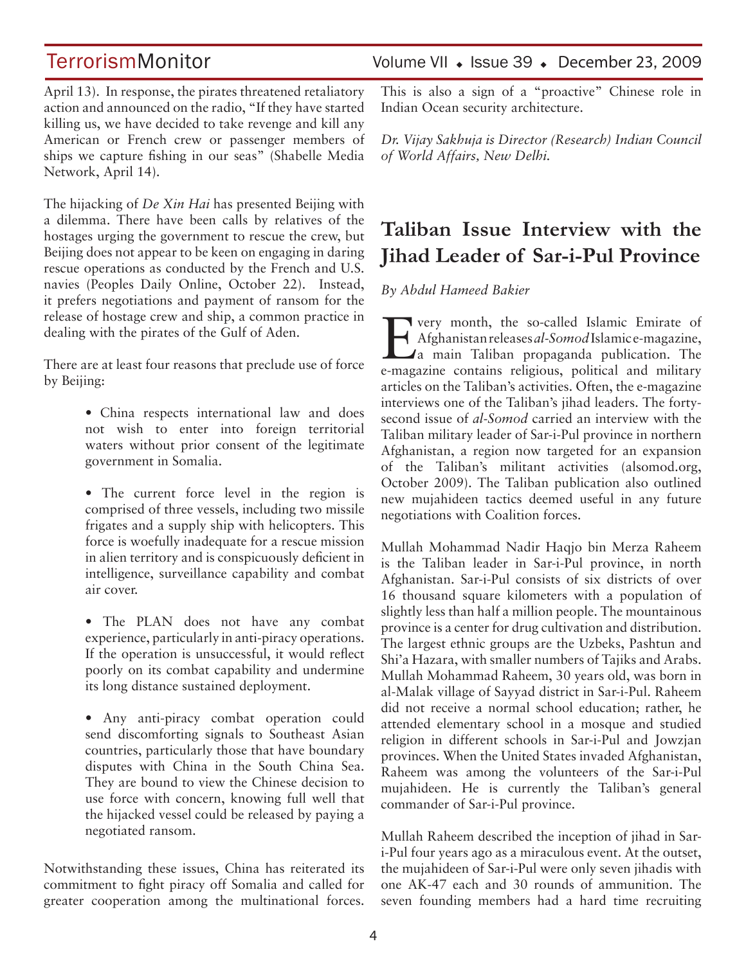April 13). In response, the pirates threatened retaliatory action and announced on the radio, "If they have started killing us, we have decided to take revenge and kill any American or French crew or passenger members of ships we capture fishing in our seas" (Shabelle Media Network, April 14).

The hijacking of *De Xin Hai* has presented Beijing with a dilemma. There have been calls by relatives of the hostages urging the government to rescue the crew, but Beijing does not appear to be keen on engaging in daring rescue operations as conducted by the French and U.S. navies (Peoples Daily Online, October 22). Instead, it prefers negotiations and payment of ransom for the release of hostage crew and ship, a common practice in dealing with the pirates of the Gulf of Aden.

There are at least four reasons that preclude use of force by Beijing:

> • China respects international law and does not wish to enter into foreign territorial waters without prior consent of the legitimate government in Somalia.

> • The current force level in the region is comprised of three vessels, including two missile frigates and a supply ship with helicopters. This force is woefully inadequate for a rescue mission in alien territory and is conspicuously deficient in intelligence, surveillance capability and combat air cover.

> • The PLAN does not have any combat experience, particularly in anti-piracy operations. If the operation is unsuccessful, it would reflect poorly on its combat capability and undermine its long distance sustained deployment.

> • Any anti-piracy combat operation could send discomforting signals to Southeast Asian countries, particularly those that have boundary disputes with China in the South China Sea. They are bound to view the Chinese decision to use force with concern, knowing full well that the hijacked vessel could be released by paying a negotiated ransom.

Notwithstanding these issues, China has reiterated its commitment to fight piracy off Somalia and called for greater cooperation among the multinational forces.

## TerrorismMonitor Volume VII • Issue 39 • December 23, 2009

This is also a sign of a "proactive" Chinese role in Indian Ocean security architecture.

*Dr. Vijay Sakhuja is Director (Research) Indian Council of World Affairs, New Delhi.*

## **Taliban Issue Interview with the Jihad Leader of Sar-i-Pul Province**

*By Abdul Hameed Bakier*

**EVERY MONTHS** very month, the so-called Islamic Emirate of Afghanistan releases al-SomodIslamice-magazine, a main Taliban propaganda publication. The Afghanistan releases *al-Somod* Islamic e-magazine, e-magazine contains religious, political and military articles on the Taliban's activities. Often, the e-magazine interviews one of the Taliban's jihad leaders. The fortysecond issue of *al-Somod* carried an interview with the Taliban military leader of Sar-i-Pul province in northern Afghanistan, a region now targeted for an expansion of the Taliban's militant activities (alsomod.org, October 2009). The Taliban publication also outlined new mujahideen tactics deemed useful in any future negotiations with Coalition forces.

Mullah Mohammad Nadir Haqjo bin Merza Raheem is the Taliban leader in Sar-i-Pul province, in north Afghanistan. Sar-i-Pul consists of six districts of over 16 thousand square kilometers with a population of slightly less than half a million people. The mountainous province is a center for drug cultivation and distribution. The largest ethnic groups are the Uzbeks, Pashtun and Shi'a Hazara, with smaller numbers of Tajiks and Arabs. Mullah Mohammad Raheem, 30 years old, was born in al-Malak village of Sayyad district in Sar-i-Pul. Raheem did not receive a normal school education; rather, he attended elementary school in a mosque and studied religion in different schools in Sar-i-Pul and Jowzjan provinces. When the United States invaded Afghanistan, Raheem was among the volunteers of the Sar-i-Pul mujahideen. He is currently the Taliban's general commander of Sar-i-Pul province.

Mullah Raheem described the inception of jihad in Sari-Pul four years ago as a miraculous event. At the outset, the mujahideen of Sar-i-Pul were only seven jihadis with one AK-47 each and 30 rounds of ammunition. The seven founding members had a hard time recruiting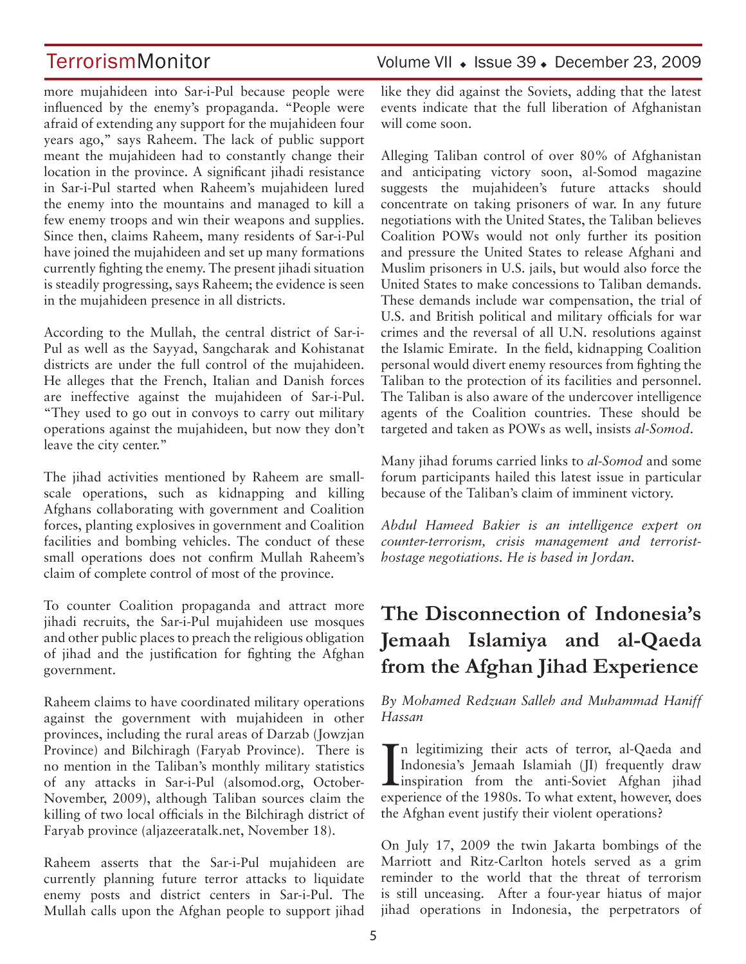more mujahideen into Sar-i-Pul because people were influenced by the enemy's propaganda. "People were afraid of extending any support for the mujahideen four years ago," says Raheem. The lack of public support meant the mujahideen had to constantly change their location in the province. A significant jihadi resistance in Sar-i-Pul started when Raheem's mujahideen lured the enemy into the mountains and managed to kill a few enemy troops and win their weapons and supplies. Since then, claims Raheem, many residents of Sar-i-Pul have joined the mujahideen and set up many formations currently fighting the enemy. The present jihadi situation is steadily progressing, says Raheem; the evidence is seen in the mujahideen presence in all districts.

According to the Mullah, the central district of Sar-i-Pul as well as the Sayyad, Sangcharak and Kohistanat districts are under the full control of the mujahideen. He alleges that the French, Italian and Danish forces are ineffective against the mujahideen of Sar-i-Pul. "They used to go out in convoys to carry out military operations against the mujahideen, but now they don't leave the city center."

The jihad activities mentioned by Raheem are smallscale operations, such as kidnapping and killing Afghans collaborating with government and Coalition forces, planting explosives in government and Coalition facilities and bombing vehicles. The conduct of these small operations does not confirm Mullah Raheem's claim of complete control of most of the province.

To counter Coalition propaganda and attract more jihadi recruits, the Sar-i-Pul mujahideen use mosques and other public places to preach the religious obligation of jihad and the justification for fighting the Afghan government.

Raheem claims to have coordinated military operations against the government with mujahideen in other provinces, including the rural areas of Darzab (Jowzjan Province) and Bilchiragh (Faryab Province). There is no mention in the Taliban's monthly military statistics of any attacks in Sar-i-Pul (alsomod.org, October-November, 2009), although Taliban sources claim the killing of two local officials in the Bilchiragh district of Faryab province (aljazeeratalk.net, November 18).

Raheem asserts that the Sar-i-Pul mujahideen are currently planning future terror attacks to liquidate enemy posts and district centers in Sar-i-Pul. The Mullah calls upon the Afghan people to support jihad

TerrorismMonitor Volume VII • Issue 39 • December 23, 2009

like they did against the Soviets, adding that the latest events indicate that the full liberation of Afghanistan will come soon.

Alleging Taliban control of over 80% of Afghanistan and anticipating victory soon, al-Somod magazine suggests the mujahideen's future attacks should concentrate on taking prisoners of war. In any future negotiations with the United States, the Taliban believes Coalition POWs would not only further its position and pressure the United States to release Afghani and Muslim prisoners in U.S. jails, but would also force the United States to make concessions to Taliban demands. These demands include war compensation, the trial of U.S. and British political and military officials for war crimes and the reversal of all U.N. resolutions against the Islamic Emirate. In the field, kidnapping Coalition personal would divert enemy resources from fighting the Taliban to the protection of its facilities and personnel. The Taliban is also aware of the undercover intelligence agents of the Coalition countries. These should be targeted and taken as POWs as well, insists *al-Somod*.

Many jihad forums carried links to *al-Somod* and some forum participants hailed this latest issue in particular because of the Taliban's claim of imminent victory.

*Abdul Hameed Bakier is an intelligence expert on counter-terrorism, crisis management and terroristhostage negotiations. He is based in Jordan.* 

## **The Disconnection of Indonesia's Jemaah Islamiya and al-Qaeda from the Afghan Jihad Experience**

*By Mohamed Redzuan Salleh and Muhammad Haniff Hassan*

In legitimizing their acts of terror, al-Qaeda and<br>Indonesia's Jemaah Islamiah (JI) frequently draw<br>inspiration from the anti-Soviet Afghan jihad Indonesia's Jemaah Islamiah (JI) frequently draw **L**inspiration from the anti-Soviet Afghan jihad experience of the 1980s. To what extent, however, does the Afghan event justify their violent operations?

On July 17, 2009 the twin Jakarta bombings of the Marriott and Ritz-Carlton hotels served as a grim reminder to the world that the threat of terrorism is still unceasing. After a four-year hiatus of major jihad operations in Indonesia, the perpetrators of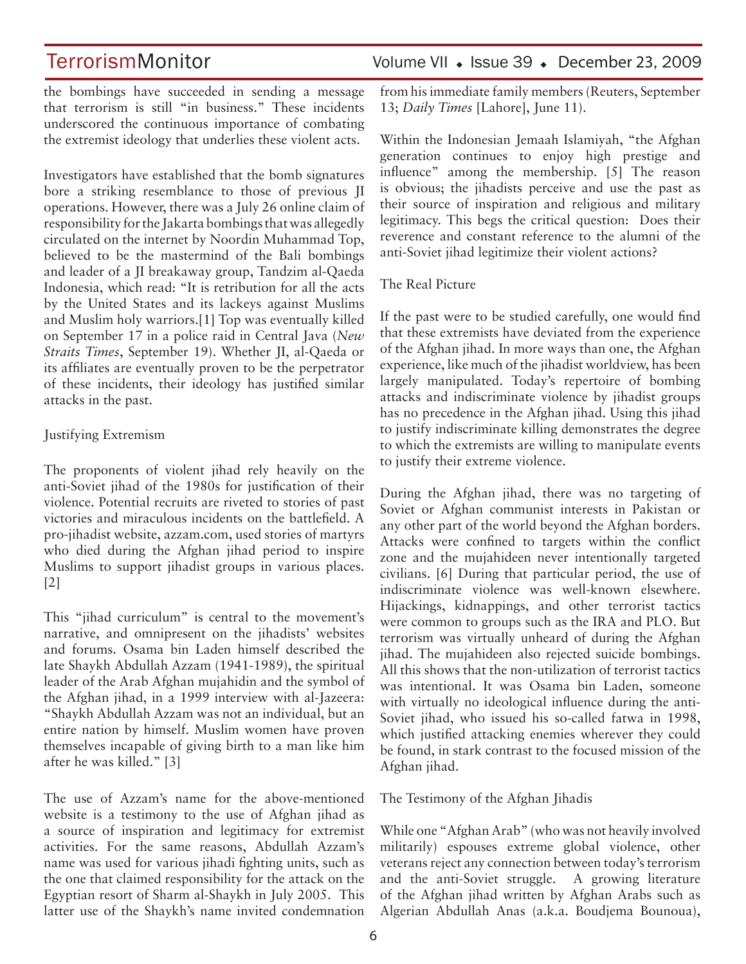the bombings have succeeded in sending a message that terrorism is still "in business." These incidents underscored the continuous importance of combating the extremist ideology that underlies these violent acts.

Investigators have established that the bomb signatures bore a striking resemblance to those of previous JI operations. However, there was a July 26 online claim of responsibility for the Jakarta bombings that was allegedly circulated on the internet by Noordin Muhammad Top, believed to be the mastermind of the Bali bombings and leader of a JI breakaway group, Tandzim al-Qaeda Indonesia, which read: "It is retribution for all the acts by the United States and its lackeys against Muslims and Muslim holy warriors.[1] Top was eventually killed on September 17 in a police raid in Central Java (*New Straits Times*, September 19). Whether JI, al-Qaeda or its affiliates are eventually proven to be the perpetrator of these incidents, their ideology has justified similar attacks in the past.

### Justifying Extremism

The proponents of violent jihad rely heavily on the anti-Soviet jihad of the 1980s for justification of their violence. Potential recruits are riveted to stories of past victories and miraculous incidents on the battlefield. A pro-jihadist website, azzam.com, used stories of martyrs who died during the Afghan jihad period to inspire Muslims to support jihadist groups in various places. [2]

This "jihad curriculum" is central to the movement's narrative, and omnipresent on the jihadists' websites and forums. Osama bin Laden himself described the late Shaykh Abdullah Azzam (1941-1989), the spiritual leader of the Arab Afghan mujahidin and the symbol of the Afghan jihad, in a 1999 interview with al-Jazeera: "Shaykh Abdullah Azzam was not an individual, but an entire nation by himself. Muslim women have proven themselves incapable of giving birth to a man like him after he was killed." [3]

The use of Azzam's name for the above-mentioned website is a testimony to the use of Afghan jihad as a source of inspiration and legitimacy for extremist activities. For the same reasons, Abdullah Azzam's name was used for various jihadi fighting units, such as the one that claimed responsibility for the attack on the Egyptian resort of Sharm al-Shaykh in July 2005. This latter use of the Shaykh's name invited condemnation

## TerrorismMonitor Volume VII + Issue 39 + December 23, 2009

from his immediate family members (Reuters, September 13; *Daily Times* [Lahore], June 11).

Within the Indonesian Jemaah Islamiyah, "the Afghan generation continues to enjoy high prestige and influence" among the membership. [5] The reason is obvious; the jihadists perceive and use the past as their source of inspiration and religious and military legitimacy. This begs the critical question: Does their reverence and constant reference to the alumni of the anti-Soviet jihad legitimize their violent actions?

### The Real Picture

If the past were to be studied carefully, one would find that these extremists have deviated from the experience of the Afghan jihad. In more ways than one, the Afghan experience, like much of the jihadist worldview, has been largely manipulated. Today's repertoire of bombing attacks and indiscriminate violence by jihadist groups has no precedence in the Afghan jihad. Using this jihad to justify indiscriminate killing demonstrates the degree to which the extremists are willing to manipulate events to justify their extreme violence.

During the Afghan jihad, there was no targeting of Soviet or Afghan communist interests in Pakistan or any other part of the world beyond the Afghan borders. Attacks were confined to targets within the conflict zone and the mujahideen never intentionally targeted civilians. [6] During that particular period, the use of indiscriminate violence was well-known elsewhere. Hijackings, kidnappings, and other terrorist tactics were common to groups such as the IRA and PLO. But terrorism was virtually unheard of during the Afghan jihad. The mujahideen also rejected suicide bombings. All this shows that the non-utilization of terrorist tactics was intentional. It was Osama bin Laden, someone with virtually no ideological influence during the anti-Soviet jihad, who issued his so-called fatwa in 1998, which justified attacking enemies wherever they could be found, in stark contrast to the focused mission of the Afghan jihad.

The Testimony of the Afghan Jihadis

While one "Afghan Arab" (who was not heavily involved militarily) espouses extreme global violence, other veterans reject any connection between today's terrorism and the anti-Soviet struggle. A growing literature of the Afghan jihad written by Afghan Arabs such as Algerian Abdullah Anas (a.k.a. Boudjema Bounoua),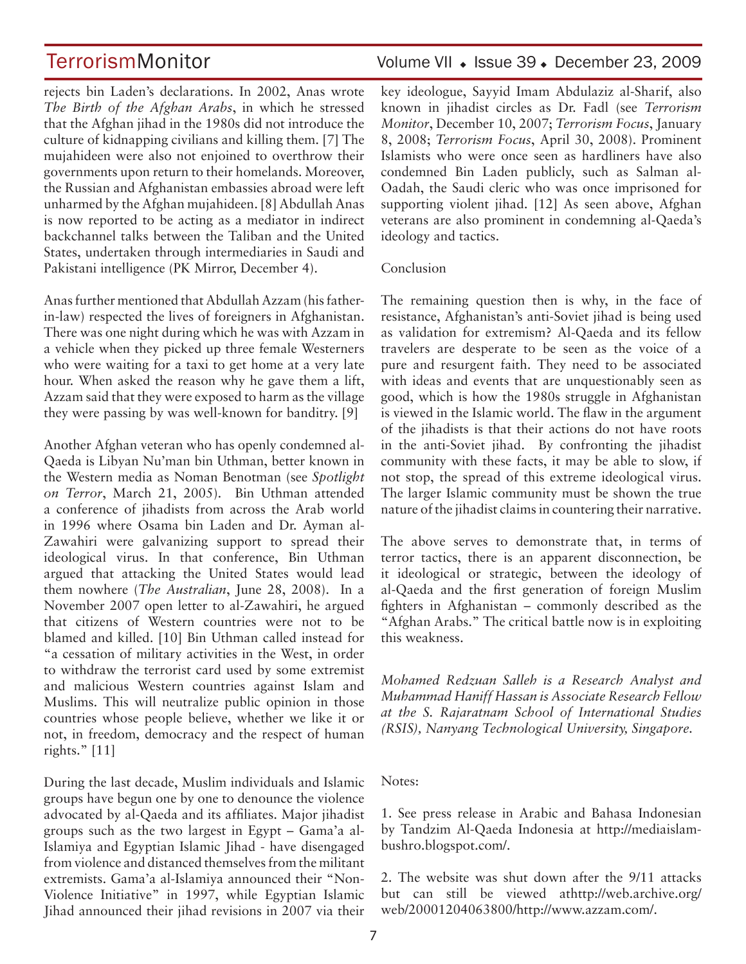rejects bin Laden's declarations. In 2002, Anas wrote *The Birth of the Afghan Arabs*, in which he stressed that the Afghan jihad in the 1980s did not introduce the culture of kidnapping civilians and killing them. [7] The mujahideen were also not enjoined to overthrow their governments upon return to their homelands. Moreover, the Russian and Afghanistan embassies abroad were left unharmed by the Afghan mujahideen. [8] Abdullah Anas is now reported to be acting as a mediator in indirect backchannel talks between the Taliban and the United States, undertaken through intermediaries in Saudi and Pakistani intelligence (PK Mirror, December 4).

Anas further mentioned that Abdullah Azzam (his fatherin-law) respected the lives of foreigners in Afghanistan. There was one night during which he was with Azzam in a vehicle when they picked up three female Westerners who were waiting for a taxi to get home at a very late hour. When asked the reason why he gave them a lift, Azzam said that they were exposed to harm as the village they were passing by was well-known for banditry. [9]

Another Afghan veteran who has openly condemned al-Qaeda is Libyan Nu'man bin Uthman, better known in the Western media as Noman Benotman (see *Spotlight on Terror*, March 21, 2005). Bin Uthman attended a conference of jihadists from across the Arab world in 1996 where Osama bin Laden and Dr. Ayman al-Zawahiri were galvanizing support to spread their ideological virus. In that conference, Bin Uthman argued that attacking the United States would lead them nowhere (*The Australian*, June 28, 2008). In a November 2007 open letter to al-Zawahiri, he argued that citizens of Western countries were not to be blamed and killed. [10] Bin Uthman called instead for "a cessation of military activities in the West, in order to withdraw the terrorist card used by some extremist and malicious Western countries against Islam and Muslims. This will neutralize public opinion in those countries whose people believe, whether we like it or not, in freedom, democracy and the respect of human rights." [11]

During the last decade, Muslim individuals and Islamic groups have begun one by one to denounce the violence advocated by al-Qaeda and its affiliates. Major jihadist groups such as the two largest in Egypt – Gama'a al-Islamiya and Egyptian Islamic Jihad - have disengaged from violence and distanced themselves from the militant extremists. Gama'a al-Islamiya announced their "Non-Violence Initiative" in 1997, while Egyptian Islamic Jihad announced their jihad revisions in 2007 via their

## TerrorismMonitor Volume VII • Issue 39 • December 23, 2009

key ideologue, Sayyid Imam Abdulaziz al-Sharif, also known in jihadist circles as Dr. Fadl (see *Terrorism Monitor*, December 10, 2007; *Terrorism Focus*, January 8, 2008; *Terrorism Focus*, April 30, 2008). Prominent Islamists who were once seen as hardliners have also condemned Bin Laden publicly, such as Salman al-Oadah, the Saudi cleric who was once imprisoned for supporting violent jihad. [12] As seen above, Afghan veterans are also prominent in condemning al-Qaeda's ideology and tactics.

### Conclusion

The remaining question then is why, in the face of resistance, Afghanistan's anti-Soviet jihad is being used as validation for extremism? Al-Qaeda and its fellow travelers are desperate to be seen as the voice of a pure and resurgent faith. They need to be associated with ideas and events that are unquestionably seen as good, which is how the 1980s struggle in Afghanistan is viewed in the Islamic world. The flaw in the argument of the jihadists is that their actions do not have roots in the anti-Soviet jihad. By confronting the jihadist community with these facts, it may be able to slow, if not stop, the spread of this extreme ideological virus. The larger Islamic community must be shown the true nature of the jihadist claims in countering their narrative.

The above serves to demonstrate that, in terms of terror tactics, there is an apparent disconnection, be it ideological or strategic, between the ideology of al-Qaeda and the first generation of foreign Muslim fighters in Afghanistan – commonly described as the "Afghan Arabs." The critical battle now is in exploiting this weakness.

*Mohamed Redzuan Salleh is a Research Analyst and Muhammad Haniff Hassan is Associate Research Fellow at the S. Rajaratnam School of International Studies (RSIS), Nanyang Technological University, Singapore.*

### Notes:

1. See press release in Arabic and Bahasa Indonesian by Tandzim Al-Qaeda Indonesia at http://mediaislambushro.blogspot.com/.

2. The website was shut down after the 9/11 attacks but can still be viewed athttp://web.archive.org/ web/20001204063800/http://www.azzam.com/.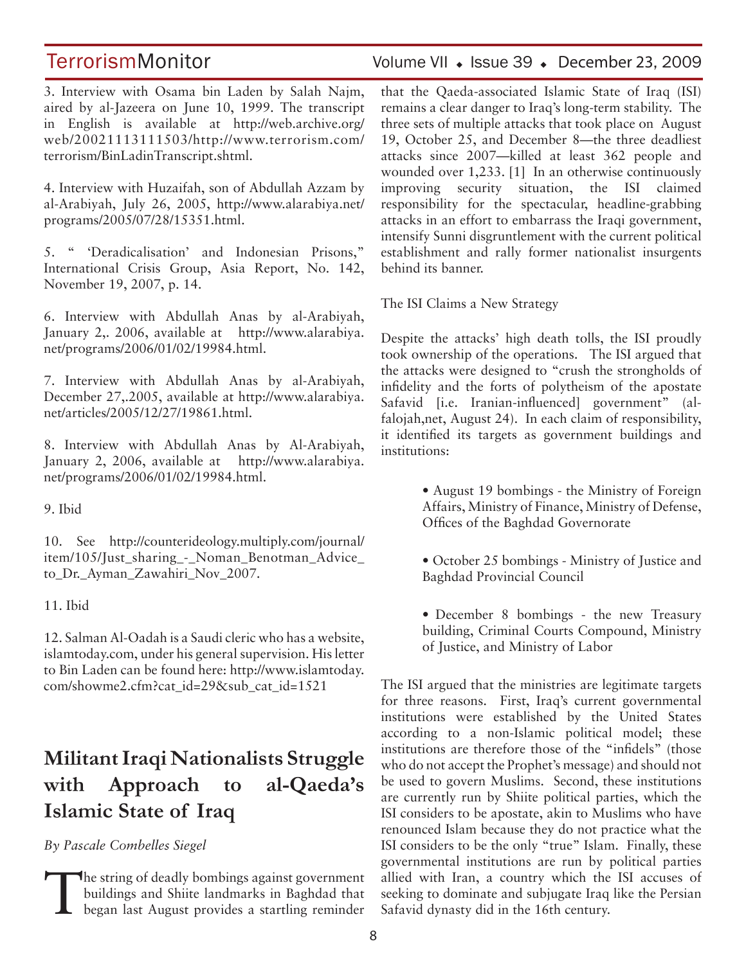3. Interview with Osama bin Laden by Salah Najm, aired by al-Jazeera on June 10, 1999. The transcript in English is available at http://web.archive.org/ web/20021113111503/http://www.terrorism.com/ terrorism/BinLadinTranscript.shtml.

4. Interview with Huzaifah, son of Abdullah Azzam by al-Arabiyah, July 26, 2005, http://www.alarabiya.net/ programs/2005/07/28/15351.html.

5. " 'Deradicalisation' and Indonesian Prisons," International Crisis Group, Asia Report, No. 142, November 19, 2007, p. 14.

6. Interview with Abdullah Anas by al-Arabiyah, January 2,. 2006, available at http://www.alarabiya. net/programs/2006/01/02/19984.html.

7. Interview with Abdullah Anas by al-Arabiyah, December 27,.2005, available at http://www.alarabiya. net/articles/2005/12/27/19861.html.

8. Interview with Abdullah Anas by Al-Arabiyah, January 2, 2006, available at http://www.alarabiya. net/programs/2006/01/02/19984.html.

9. Ibid

10. See http://counterideology.multiply.com/journal/ item/105/Just\_sharing\_-\_Noman\_Benotman\_Advice\_ to\_Dr.\_Ayman\_Zawahiri\_Nov\_2007.

11. Ibid

12. Salman Al-Oadah is a Saudi cleric who has a website, islamtoday.com, under his general supervision. His letter to Bin Laden can be found here: http://www.islamtoday. com/showme2.cfm?cat\_id=29&sub\_cat\_id=1521

## **Militant Iraqi Nationalists Struggle with Approach to al-Qaeda's Islamic State of Iraq**

*By Pascale Combelles Siegel* 

The string of deadly bombings against government<br>buildings and Shiite landmarks in Baghdad that<br>began last August provides a startling reminder buildings and Shiite landmarks in Baghdad that

TerrorismMonitor Volume VII • Issue 39 • December 23, 2009

that the Qaeda-associated Islamic State of Iraq (ISI) remains a clear danger to Iraq's long-term stability. The three sets of multiple attacks that took place on August 19, October 25, and December 8—the three deadliest attacks since 2007—killed at least 362 people and wounded over 1,233. [1] In an otherwise continuously improving security situation, the ISI claimed responsibility for the spectacular, headline-grabbing attacks in an effort to embarrass the Iraqi government, intensify Sunni disgruntlement with the current political establishment and rally former nationalist insurgents behind its banner.

The ISI Claims a New Strategy

Despite the attacks' high death tolls, the ISI proudly took ownership of the operations. The ISI argued that the attacks were designed to "crush the strongholds of infidelity and the forts of polytheism of the apostate Safavid [i.e. Iranian-influenced] government" (alfalojah,net, August 24). In each claim of responsibility, it identified its targets as government buildings and institutions:

- August 19 bombings the Ministry of Foreign Affairs, Ministry of Finance, Ministry of Defense, Offices of the Baghdad Governorate
- October 25 bombings Ministry of Justice and Baghdad Provincial Council
- December 8 bombings the new Treasury building, Criminal Courts Compound, Ministry of Justice, and Ministry of Labor

The ISI argued that the ministries are legitimate targets for three reasons. First, Iraq's current governmental institutions were established by the United States according to a non-Islamic political model; these institutions are therefore those of the "infidels" (those who do not accept the Prophet's message) and should not be used to govern Muslims. Second, these institutions are currently run by Shiite political parties, which the ISI considers to be apostate, akin to Muslims who have renounced Islam because they do not practice what the ISI considers to be the only "true" Islam. Finally, these governmental institutions are run by political parties allied with Iran, a country which the ISI accuses of seeking to dominate and subjugate Iraq like the Persian Safavid dynasty did in the 16th century.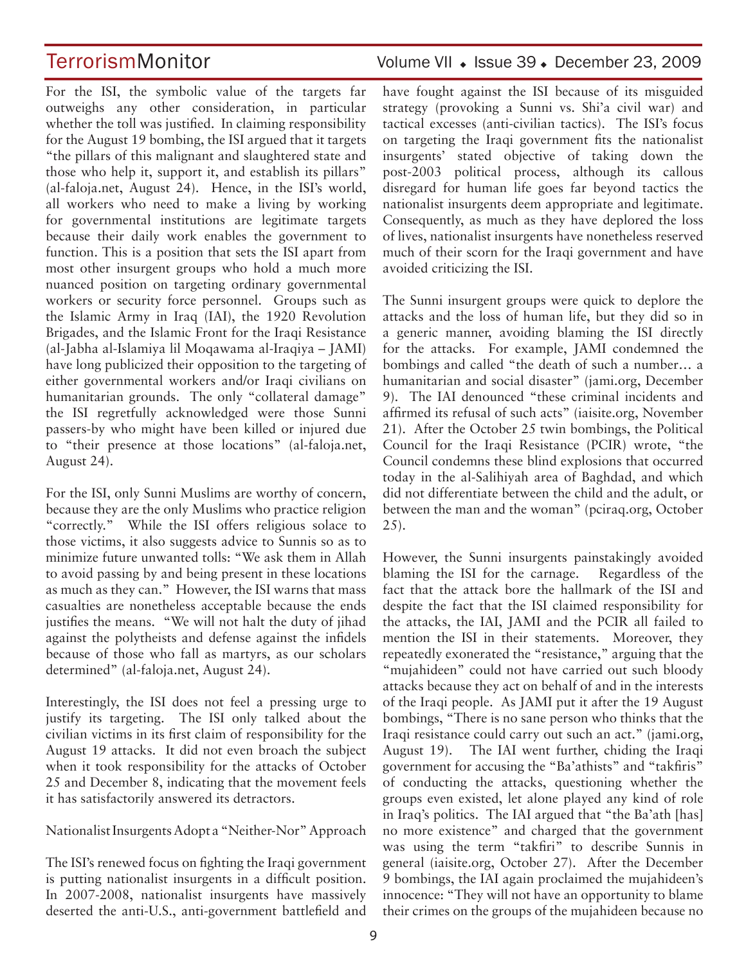For the ISI, the symbolic value of the targets far outweighs any other consideration, in particular whether the toll was justified. In claiming responsibility for the August 19 bombing, the ISI argued that it targets "the pillars of this malignant and slaughtered state and those who help it, support it, and establish its pillars" (al-faloja.net, August 24). Hence, in the ISI's world, all workers who need to make a living by working for governmental institutions are legitimate targets because their daily work enables the government to function. This is a position that sets the ISI apart from most other insurgent groups who hold a much more nuanced position on targeting ordinary governmental workers or security force personnel. Groups such as the Islamic Army in Iraq (IAI), the 1920 Revolution Brigades, and the Islamic Front for the Iraqi Resistance (al-Jabha al-Islamiya lil Moqawama al-Iraqiya – JAMI) have long publicized their opposition to the targeting of either governmental workers and/or Iraqi civilians on humanitarian grounds. The only "collateral damage" the ISI regretfully acknowledged were those Sunni passers-by who might have been killed or injured due to "their presence at those locations" (al-faloja.net, August 24).

For the ISI, only Sunni Muslims are worthy of concern, because they are the only Muslims who practice religion "correctly." While the ISI offers religious solace to those victims, it also suggests advice to Sunnis so as to minimize future unwanted tolls: "We ask them in Allah to avoid passing by and being present in these locations as much as they can." However, the ISI warns that mass casualties are nonetheless acceptable because the ends justifies the means. "We will not halt the duty of jihad against the polytheists and defense against the infidels because of those who fall as martyrs, as our scholars determined" (al-faloja.net, August 24).

Interestingly, the ISI does not feel a pressing urge to justify its targeting. The ISI only talked about the civilian victims in its first claim of responsibility for the August 19 attacks. It did not even broach the subject when it took responsibility for the attacks of October 25 and December 8, indicating that the movement feels it has satisfactorily answered its detractors.

Nationalist Insurgents Adopt a "Neither-Nor" Approach

The ISI's renewed focus on fighting the Iraqi government is putting nationalist insurgents in a difficult position. In 2007-2008, nationalist insurgents have massively deserted the anti-U.S., anti-government battlefield and

## TerrorismMonitor Volume VII • Issue 39 • December 23, 2009

have fought against the ISI because of its misguided strategy (provoking a Sunni vs. Shi'a civil war) and tactical excesses (anti-civilian tactics). The ISI's focus on targeting the Iraqi government fits the nationalist insurgents' stated objective of taking down the post-2003 political process, although its callous disregard for human life goes far beyond tactics the nationalist insurgents deem appropriate and legitimate. Consequently, as much as they have deplored the loss of lives, nationalist insurgents have nonetheless reserved much of their scorn for the Iraqi government and have avoided criticizing the ISI.

The Sunni insurgent groups were quick to deplore the attacks and the loss of human life, but they did so in a generic manner, avoiding blaming the ISI directly for the attacks. For example, JAMI condemned the bombings and called "the death of such a number… a humanitarian and social disaster" (jami.org, December 9). The IAI denounced "these criminal incidents and affirmed its refusal of such acts" (iaisite.org, November 21). After the October 25 twin bombings, the Political Council for the Iraqi Resistance (PCIR) wrote, "the Council condemns these blind explosions that occurred today in the al-Salihiyah area of Baghdad, and which did not differentiate between the child and the adult, or between the man and the woman" (pciraq.org, October 25).

However, the Sunni insurgents painstakingly avoided blaming the ISI for the carnage. Regardless of the fact that the attack bore the hallmark of the ISI and despite the fact that the ISI claimed responsibility for the attacks, the IAI, JAMI and the PCIR all failed to mention the ISI in their statements. Moreover, they repeatedly exonerated the "resistance," arguing that the "mujahideen" could not have carried out such bloody attacks because they act on behalf of and in the interests of the Iraqi people. As JAMI put it after the 19 August bombings, "There is no sane person who thinks that the Iraqi resistance could carry out such an act." (jami.org, August 19). The IAI went further, chiding the Iraqi government for accusing the "Ba'athists" and "takfiris" of conducting the attacks, questioning whether the groups even existed, let alone played any kind of role in Iraq's politics. The IAI argued that "the Ba'ath [has] no more existence" and charged that the government was using the term "takfiri" to describe Sunnis in general (iaisite.org, October 27). After the December 9 bombings, the IAI again proclaimed the mujahideen's innocence: "They will not have an opportunity to blame their crimes on the groups of the mujahideen because no